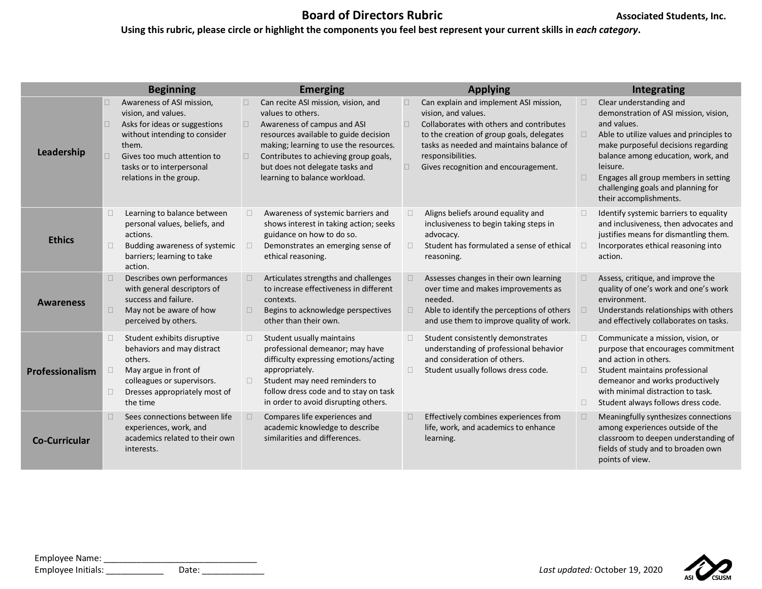## **Board of Directors Rubric Community Associated Students, Inc.**

## **Using this rubric, please circle or highlight the components you feel best represent your current skills in** *each category***.**

|                      |                  | <b>Beginning</b>                                                                                                                                                                                                   |                  | <b>Emerging</b>                                                                                                                                                                                                                                                                         |                    | <b>Applying</b>                                                                                                                                                                                                                                                 |                            | Integrating                                                                                                                                                                                                                                                                                                                  |
|----------------------|------------------|--------------------------------------------------------------------------------------------------------------------------------------------------------------------------------------------------------------------|------------------|-----------------------------------------------------------------------------------------------------------------------------------------------------------------------------------------------------------------------------------------------------------------------------------------|--------------------|-----------------------------------------------------------------------------------------------------------------------------------------------------------------------------------------------------------------------------------------------------------------|----------------------------|------------------------------------------------------------------------------------------------------------------------------------------------------------------------------------------------------------------------------------------------------------------------------------------------------------------------------|
| Leadership           | П.<br>$\Box$     | Awareness of ASI mission,<br>vision, and values.<br>Asks for ideas or suggestions<br>without intending to consider<br>them.<br>Gives too much attention to<br>tasks or to interpersonal<br>relations in the group. | $\Box$<br>$\Box$ | Can recite ASI mission, vision, and<br>values to others.<br>Awareness of campus and ASI<br>resources available to guide decision<br>making; learning to use the resources.<br>Contributes to achieving group goals,<br>but does not delegate tasks and<br>learning to balance workload. | П.<br>П.<br>$\Box$ | Can explain and implement ASI mission,<br>vision, and values.<br>Collaborates with others and contributes<br>to the creation of group goals, delegates<br>tasks as needed and maintains balance of<br>responsibilities.<br>Gives recognition and encouragement. | $\Box$<br>$\Box$<br>$\Box$ | Clear understanding and<br>demonstration of ASI mission, vision,<br>and values.<br>Able to utilize values and principles to<br>make purposeful decisions regarding<br>balance among education, work, and<br>leisure.<br>Engages all group members in setting<br>challenging goals and planning for<br>their accomplishments. |
| <b>Ethics</b>        | $\Box$<br>$\Box$ | Learning to balance between<br>personal values, beliefs, and<br>actions.<br>Budding awareness of systemic<br>barriers; learning to take<br>action.                                                                 | $\Box$           | Awareness of systemic barriers and<br>shows interest in taking action; seeks<br>guidance on how to do so.<br>Demonstrates an emerging sense of<br>ethical reasoning.                                                                                                                    | $\Box$<br>$\Box$   | Aligns beliefs around equality and<br>inclusiveness to begin taking steps in<br>advocacy.<br>Student has formulated a sense of ethical<br>reasoning.                                                                                                            | $\Box$<br>$\Box$           | Identify systemic barriers to equality<br>and inclusiveness, then advocates and<br>justifies means for dismantling them.<br>Incorporates ethical reasoning into<br>action.                                                                                                                                                   |
| <b>Awareness</b>     | $\Box$<br>$\Box$ | Describes own performances<br>with general descriptors of<br>success and failure.<br>May not be aware of how<br>perceived by others.                                                                               | $\Box$<br>$\Box$ | Articulates strengths and challenges<br>to increase effectiveness in different<br>contexts.<br>Begins to acknowledge perspectives<br>other than their own.                                                                                                                              | $\Box$<br>$\Box$   | Assesses changes in their own learning<br>over time and makes improvements as<br>needed.<br>Able to identify the perceptions of others<br>and use them to improve quality of work.                                                                              | $\Box$<br>$\Box$           | Assess, critique, and improve the<br>quality of one's work and one's work<br>environment.<br>Understands relationships with others<br>and effectively collaborates on tasks.                                                                                                                                                 |
| Professionalism      | $\Box$<br>$\Box$ | Student exhibits disruptive<br>behaviors and may distract<br>others.<br>May argue in front of<br>colleagues or supervisors.<br>Dresses appropriately most of<br>the time                                           | $\Box$<br>$\Box$ | Student usually maintains<br>professional demeanor; may have<br>difficulty expressing emotions/acting<br>appropriately.<br>Student may need reminders to<br>follow dress code and to stay on task<br>in order to avoid disrupting others.                                               | $\Box$<br>$\Box$   | Student consistently demonstrates<br>understanding of professional behavior<br>and consideration of others.<br>Student usually follows dress code.                                                                                                              | $\Box$<br>$\Box$<br>$\Box$ | Communicate a mission, vision, or<br>purpose that encourages commitment<br>and action in others.<br>Student maintains professional<br>demeanor and works productively<br>with minimal distraction to task.<br>Student always follows dress code.                                                                             |
| <b>Co-Curricular</b> | $\Box$           | Sees connections between life<br>experiences, work, and<br>academics related to their own<br>interests.                                                                                                            |                  | Compares life experiences and<br>academic knowledge to describe<br>similarities and differences.                                                                                                                                                                                        | $\Box$             | Effectively combines experiences from<br>life, work, and academics to enhance<br>learning.                                                                                                                                                                      | $\Box$                     | Meaningfully synthesizes connections<br>among experiences outside of the<br>classroom to deepen understanding of<br>fields of study and to broaden own<br>points of view.                                                                                                                                                    |